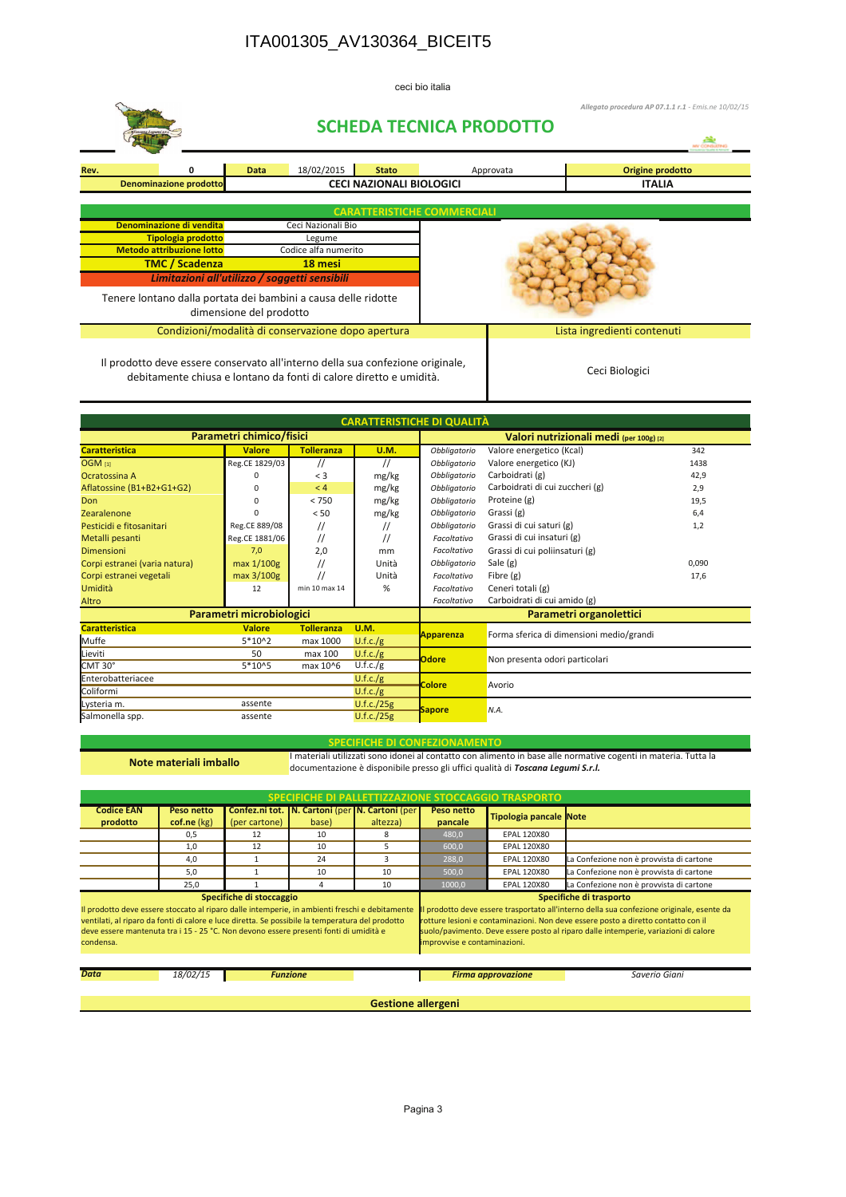## ITA001305\_AV130364\_BICEIT5

ceci bio italia

|                                                                                                                                                      |                                                |   |      | <b>SCHEDA TECNICA PRODOTTO</b>  | Allegato procedura AP 07.1.1 r.1 - Emis.ne 10/02/15 |                                   |           |                             |  |  |
|------------------------------------------------------------------------------------------------------------------------------------------------------|------------------------------------------------|---|------|---------------------------------|-----------------------------------------------------|-----------------------------------|-----------|-----------------------------|--|--|
| Rev.                                                                                                                                                 |                                                | 0 | Data | 18/02/2015                      | <b>Stato</b>                                        |                                   | Approvata | Origine prodotto            |  |  |
| <b>Denominazione prodotto</b>                                                                                                                        |                                                |   |      | <b>CECI NAZIONALI BIOLOGICI</b> |                                                     |                                   |           | <b>ITALIA</b>               |  |  |
|                                                                                                                                                      | <b>CARATTERISTICHE COMMERCIALI</b>             |   |      |                                 |                                                     |                                   |           |                             |  |  |
|                                                                                                                                                      | Denominazione di vendita<br>Ceci Nazionali Bio |   |      |                                 |                                                     |                                   |           |                             |  |  |
| <b>Tipologia prodotto</b>                                                                                                                            |                                                |   |      | Legume                          |                                                     |                                   |           |                             |  |  |
| <b>Metodo attribuzione lotto</b><br><b>TMC / Scadenza</b>                                                                                            |                                                |   |      | Codice alfa numerito<br>18 mesi |                                                     |                                   |           |                             |  |  |
|                                                                                                                                                      |                                                |   |      |                                 |                                                     |                                   |           |                             |  |  |
| Limitazioni all'utilizzo / soggetti sensibili                                                                                                        |                                                |   |      |                                 |                                                     |                                   |           |                             |  |  |
| Tenere lontano dalla portata dei bambini a causa delle ridotte<br>dimensione del prodotto                                                            |                                                |   |      |                                 |                                                     |                                   |           |                             |  |  |
| Condizioni/modalità di conservazione dopo apertura                                                                                                   |                                                |   |      |                                 |                                                     |                                   |           | Lista ingredienti contenuti |  |  |
| Il prodotto deve essere conservato all'interno della sua confezione originale,<br>debitamente chiusa e lontano da fonti di calore diretto e umidità. |                                                |   |      |                                 |                                                     |                                   |           | Ceci Biologici              |  |  |
|                                                                                                                                                      |                                                |   |      |                                 |                                                     | <b>CARATTERISTICHE DI QUALITÀ</b> |           |                             |  |  |

| <u>CARALIENSTICHE DI QUALITA</u> |                          |                   |                                         |                         |                                          |       |  |  |
|----------------------------------|--------------------------|-------------------|-----------------------------------------|-------------------------|------------------------------------------|-------|--|--|
|                                  | Parametri chimico/fisici |                   | Valori nutrizionali medi (per 100g) [2] |                         |                                          |       |  |  |
| <b>Caratteristica</b>            | <b>Valore</b>            | <b>Tolleranza</b> | <b>U.M.</b>                             | Obbligatorio            | Valore energetico (Kcal)                 | 342   |  |  |
| OGM <sub>[1]</sub>               | Reg.CE 1829/03           | $^{\prime\prime}$ | //                                      | Obbligatorio            | Valore energetico (KJ)                   | 1438  |  |  |
| Ocratossina A                    | n                        | $<$ 3             | mg/kg                                   | Obbligatorio            | Carboidrati (g)                          | 42,9  |  |  |
| Aflatossine (B1+B2+G1+G2)        |                          | < 4               | mg/kg                                   | Obbligatorio            | Carboidrati di cui zuccheri (g)          | 2,9   |  |  |
| Don                              |                          | < 750             | mg/kg                                   | Obbligatorio            | Proteine (g)                             | 19,5  |  |  |
| Zearalenone                      |                          | < 50              | mg/kg                                   | Obbligatorio            | Grassi (g)                               | 6,4   |  |  |
| Pesticidi e fitosanitari         | Reg.CE 889/08            | $^{\prime\prime}$ | $^{\prime\prime}$                       | Obbligatorio            | Grassi di cui saturi (g)                 | 1,2   |  |  |
| Metalli pesanti                  | Reg.CE 1881/06           | $^{\prime\prime}$ | //                                      | Facoltativo             | Grassi di cui insaturi (g)               |       |  |  |
| <b>Dimensioni</b>                | 7,0                      | 2,0               | mm                                      | Facoltativo             | Grassi di cui poliinsaturi (g)           |       |  |  |
| Corpi estranei (varia natura)    | max 1/100g               |                   | Unità                                   | Obbligatorio            | Sale (g)                                 | 0,090 |  |  |
| Corpi estranei vegetali          | max 3/100g               | $^{\prime\prime}$ | Unità                                   | Facoltativo             | Fibre (g)                                | 17,6  |  |  |
| Umidità                          | 12                       | min 10 max 14     | %                                       | Facoltativo             | Ceneri totali (g)                        |       |  |  |
| Altro                            |                          |                   |                                         | Facoltativo             | Carboidrati di cui amido (g)             |       |  |  |
|                                  | Parametri microbiologici |                   |                                         | Parametri organolettici |                                          |       |  |  |
| <b>Caratteristica</b>            | <b>Valore</b>            | <b>Tolleranza</b> | <b>U.M.</b>                             | <b>Apparenza</b>        | Forma sferica di dimensioni medio/grandi |       |  |  |
| Muffe                            | 5*10^2                   | max 1000          | U.f.c./g                                |                         |                                          |       |  |  |
| Lieviti                          | 50                       | max 100           | U.f.c./g                                | <b>Odore</b>            | Non presenta odori particolari           |       |  |  |
| CMT 30°                          | 5*10^5                   | max 10^6          | U.f.c./g                                |                         |                                          |       |  |  |
| Enterobatteriacee                |                          |                   | U.f.c./g                                | <b>Colore</b>           | Avorio                                   |       |  |  |
| Coliformi                        |                          |                   | U.f.c./g                                |                         |                                          |       |  |  |
| Lysteria m.                      | assente                  |                   | U.f.c./25g                              | <b>Sapore</b>           | N.A.                                     |       |  |  |
| Salmonella spp.                  | assente                  |                   | U.f.c./25g                              |                         |                                          |       |  |  |

Note materiali imballo

SPECIFICHE DI CONFEZIONAMENTO<br>Imateriali utilizzati sono idonei al contatto con alimento in base alle normative cogenti in materia. Tutta la documentazione è disponibile presso gli uffici qualità di Toscana Legumi S.r.l.

| SPECIFICHE DI PALLETTIZZAZIONE STOCCAGGIO TRASPORTO                                                                                                                                                                                                                                                                                                                                                                                                                                                                                                                                                            |                           |               |                                                             |          |                           |                               |                                          |  |
|----------------------------------------------------------------------------------------------------------------------------------------------------------------------------------------------------------------------------------------------------------------------------------------------------------------------------------------------------------------------------------------------------------------------------------------------------------------------------------------------------------------------------------------------------------------------------------------------------------------|---------------------------|---------------|-------------------------------------------------------------|----------|---------------------------|-------------------------------|------------------------------------------|--|
| <b>Codice EAN</b><br>prodotto                                                                                                                                                                                                                                                                                                                                                                                                                                                                                                                                                                                  | Peso netto<br>cof.ne (kg) | (per cartone) | Confez.ni tot.   N. Cartoni (per   N. Cartoni (per<br>base) | altezza) | Peso netto<br>pancale     | <b>Tipologia pancale Note</b> |                                          |  |
|                                                                                                                                                                                                                                                                                                                                                                                                                                                                                                                                                                                                                | 0.5                       | 12            | 10                                                          | 8        | 480,0                     | <b>EPAL 120X80</b>            |                                          |  |
|                                                                                                                                                                                                                                                                                                                                                                                                                                                                                                                                                                                                                | 1,0                       | 12            | 10                                                          | 5        | 600,0                     | <b>EPAL 120X80</b>            |                                          |  |
|                                                                                                                                                                                                                                                                                                                                                                                                                                                                                                                                                                                                                | 4.0                       |               | 24                                                          |          | 288,0                     | <b>EPAL 120X80</b>            | La Confezione non è provvista di cartone |  |
|                                                                                                                                                                                                                                                                                                                                                                                                                                                                                                                                                                                                                | 5.0                       |               | 10                                                          | 10       | 500,0                     | <b>EPAL 120X80</b>            | La Confezione non è provvista di cartone |  |
|                                                                                                                                                                                                                                                                                                                                                                                                                                                                                                                                                                                                                | 25,0                      |               | 4                                                           | 10       | 1000,0                    | <b>EPAL 120X80</b>            | La Confezione non è provvista di cartone |  |
| Specifiche di stoccaggio                                                                                                                                                                                                                                                                                                                                                                                                                                                                                                                                                                                       |                           |               |                                                             |          | Specifiche di trasporto   |                               |                                          |  |
| Il prodotto deve essere stoccato al riparo dalle intemperie, in ambienti freschi e debitamente<br>prodotto deve essere trasportato all'interno della sua confezione originale, esente da<br>ventilati, al riparo da fonti di calore e luce diretta. Se possibile la temperatura del prodotto<br>rotture lesioni e contaminazioni. Non deve essere posto a diretto contatto con il<br>deve essere mantenuta tra i 15 - 25 °C. Non devono essere presenti fonti di umidità e<br>suolo/pavimento. Deve essere posto al riparo dalle intemperie, variazioni di calore<br>improvvise e contaminazioni.<br>condensa. |                           |               |                                                             |          |                           |                               |                                          |  |
| <b>Data</b>                                                                                                                                                                                                                                                                                                                                                                                                                                                                                                                                                                                                    | 18/02/15                  |               | <b>Funzione</b>                                             |          | <b>Firma approvazione</b> |                               | Saverio Giani                            |  |
| <b>Gestione allergeni</b>                                                                                                                                                                                                                                                                                                                                                                                                                                                                                                                                                                                      |                           |               |                                                             |          |                           |                               |                                          |  |